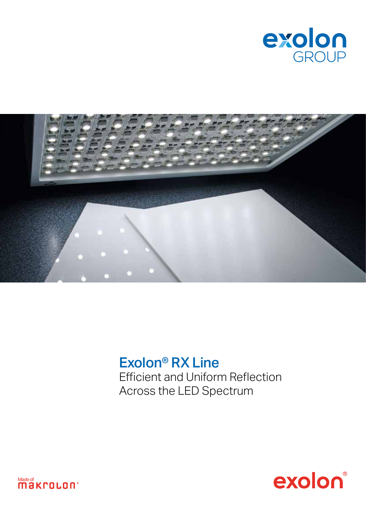



## Exolon® RX Line Efficient and Uniform Reflection Across the LED Spectrum